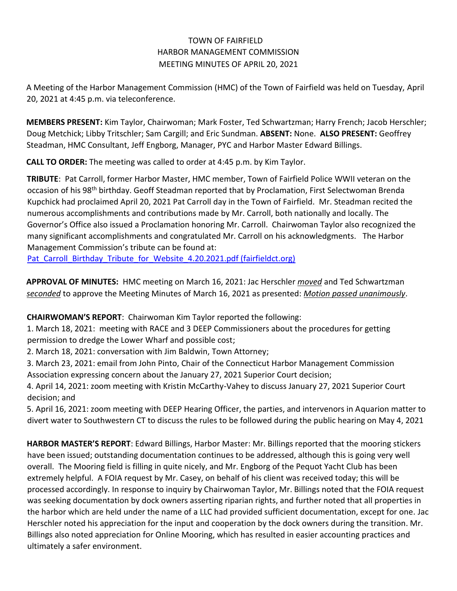## TOWN OF FAIRFIELD HARBOR MANAGEMENT COMMISSION MEETING MINUTES OF APRIL 20, 2021

A Meeting of the Harbor Management Commission (HMC) of the Town of Fairfield was held on Tuesday, April 20, 2021 at 4:45 p.m. via teleconference.

**MEMBERS PRESENT:** Kim Taylor, Chairwoman; Mark Foster, Ted Schwartzman; Harry French; Jacob Herschler; Doug Metchick; Libby Tritschler; Sam Cargill; and Eric Sundman. **ABSENT:** None. **ALSO PRESENT:** Geoffrey Steadman, HMC Consultant, Jeff Engborg, Manager, PYC and Harbor Master Edward Billings.

**CALL TO ORDER:** The meeting was called to order at 4:45 p.m. by Kim Taylor.

**TRIBUTE**: Pat Carroll, former Harbor Master, HMC member, Town of Fairfield Police WWII veteran on the occasion of his 98<sup>th</sup> birthday. Geoff Steadman reported that by Proclamation, First Selectwoman Brenda Kupchick had proclaimed April 20, 2021 Pat Carroll day in the Town of Fairfield. Mr. Steadman recited the numerous accomplishments and contributions made by Mr. Carroll, both nationally and locally. The Governor's Office also issued a Proclamation honoring Mr. Carroll. Chairwoman Taylor also recognized the many significant accomplishments and congratulated Mr. Carroll on his acknowledgments. The Harbor Management Commission's tribute can be found at:

Pat Carroll Birthday Tribute for Website 4.20.2021.pdf (fairfieldct.org)

**APPROVAL OF MINUTES:** HMC meeting on March 16, 2021: Jac Herschler *moved* and Ted Schwartzman *seconded* to approve the Meeting Minutes of March 16, 2021 as presented: *Motion passed unanimously*.

**CHAIRWOMAN'S REPORT**: Chairwoman Kim Taylor reported the following:

1. March 18, 2021: meeting with RACE and 3 DEEP Commissioners about the procedures for getting permission to dredge the Lower Wharf and possible cost;

2. March 18, 2021: conversation with Jim Baldwin, Town Attorney;

3. March 23, 2021: email from John Pinto, Chair of the Connecticut Harbor Management Commission Association expressing concern about the January 27, 2021 Superior Court decision;

4. April 14, 2021: zoom meeting with Kristin McCarthy-Vahey to discuss January 27, 2021 Superior Court decision; and

5. April 16, 2021: zoom meeting with DEEP Hearing Officer, the parties, and intervenors in Aquarion matter to divert water to Southwestern CT to discuss the rules to be followed during the public hearing on May 4, 2021

**HARBOR MASTER'S REPORT**: Edward Billings, Harbor Master: Mr. Billings reported that the mooring stickers have been issued; outstanding documentation continues to be addressed, although this is going very well overall. The Mooring field is filling in quite nicely, and Mr. Engborg of the Pequot Yacht Club has been extremely helpful. A FOIA request by Mr. Casey, on behalf of his client was received today; this will be processed accordingly. In response to inquiry by Chairwoman Taylor, Mr. Billings noted that the FOIA request was seeking documentation by dock owners asserting riparian rights, and further noted that all properties in the harbor which are held under the name of a LLC had provided sufficient documentation, except for one*.* Jac Herschler noted his appreciation for the input and cooperation by the dock owners during the transition. Mr. Billings also noted appreciation for Online Mooring, which has resulted in easier accounting practices and ultimately a safer environment.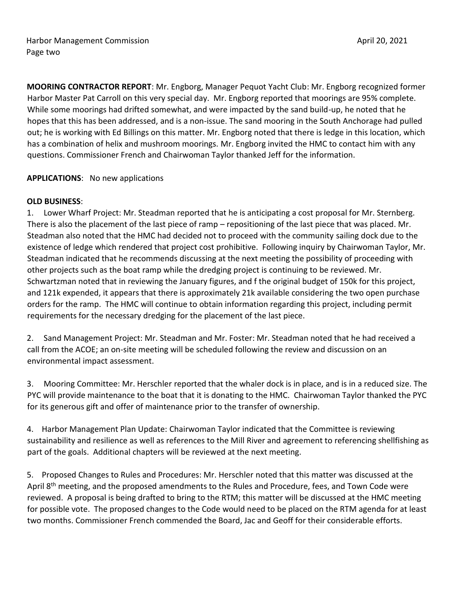**MOORING CONTRACTOR REPORT**: Mr. Engborg, Manager Pequot Yacht Club: Mr. Engborg recognized former Harbor Master Pat Carroll on this very special day. Mr. Engborg reported that moorings are 95% complete. While some moorings had drifted somewhat, and were impacted by the sand build-up, he noted that he hopes that this has been addressed, and is a non-issue. The sand mooring in the South Anchorage had pulled out; he is working with Ed Billings on this matter. Mr. Engborg noted that there is ledge in this location, which has a combination of helix and mushroom moorings. Mr. Engborg invited the HMC to contact him with any questions. Commissioner French and Chairwoman Taylor thanked Jeff for the information.

## **APPLICATIONS**: No new applications

## **OLD BUSINESS**:

1. Lower Wharf Project: Mr. Steadman reported that he is anticipating a cost proposal for Mr. Sternberg. There is also the placement of the last piece of ramp – repositioning of the last piece that was placed. Mr. Steadman also noted that the HMC had decided not to proceed with the community sailing dock due to the existence of ledge which rendered that project cost prohibitive. Following inquiry by Chairwoman Taylor, Mr. Steadman indicated that he recommends discussing at the next meeting the possibility of proceeding with other projects such as the boat ramp while the dredging project is continuing to be reviewed. Mr. Schwartzman noted that in reviewing the January figures, and f the original budget of 150k for this project, and 121k expended, it appears that there is approximately 21k available considering the two open purchase orders for the ramp. The HMC will continue to obtain information regarding this project, including permit requirements for the necessary dredging for the placement of the last piece.

2. Sand Management Project: Mr. Steadman and Mr. Foster: Mr. Steadman noted that he had received a call from the ACOE; an on-site meeting will be scheduled following the review and discussion on an environmental impact assessment.

3. Mooring Committee: Mr. Herschler reported that the whaler dock is in place, and is in a reduced size. The PYC will provide maintenance to the boat that it is donating to the HMC. Chairwoman Taylor thanked the PYC for its generous gift and offer of maintenance prior to the transfer of ownership.

4. Harbor Management Plan Update: Chairwoman Taylor indicated that the Committee is reviewing sustainability and resilience as well as references to the Mill River and agreement to referencing shellfishing as part of the goals. Additional chapters will be reviewed at the next meeting.

5. Proposed Changes to Rules and Procedures: Mr. Herschler noted that this matter was discussed at the April 8<sup>th</sup> meeting, and the proposed amendments to the Rules and Procedure, fees, and Town Code were reviewed. A proposal is being drafted to bring to the RTM; this matter will be discussed at the HMC meeting for possible vote. The proposed changes to the Code would need to be placed on the RTM agenda for at least two months. Commissioner French commended the Board, Jac and Geoff for their considerable efforts.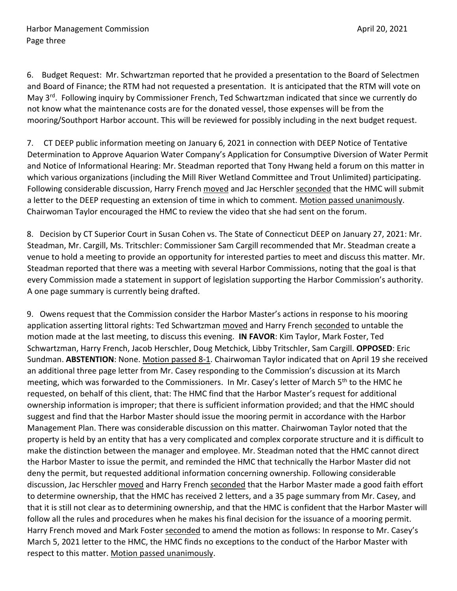6. Budget Request: Mr. Schwartzman reported that he provided a presentation to the Board of Selectmen and Board of Finance; the RTM had not requested a presentation. It is anticipated that the RTM will vote on May 3rd. Following inquiry by Commissioner French, Ted Schwartzman indicated that since we currently do not know what the maintenance costs are for the donated vessel, those expenses will be from the mooring/Southport Harbor account. This will be reviewed for possibly including in the next budget request.

7. CT DEEP public information meeting on January 6, 2021 in connection with DEEP Notice of Tentative Determination to Approve Aquarion Water Company's Application for Consumptive Diversion of Water Permit and Notice of Informational Hearing: Mr. Steadman reported that Tony Hwang held a forum on this matter in which various organizations (including the Mill River Wetland Committee and Trout Unlimited) participating. Following considerable discussion, Harry French moved and Jac Herschler seconded that the HMC will submit a letter to the DEEP requesting an extension of time in which to comment. Motion passed unanimously. Chairwoman Taylor encouraged the HMC to review the video that she had sent on the forum.

8. Decision by CT Superior Court in Susan Cohen vs. The State of Connecticut DEEP on January 27, 2021: Mr. Steadman, Mr. Cargill, Ms. Tritschler: Commissioner Sam Cargill recommended that Mr. Steadman create a venue to hold a meeting to provide an opportunity for interested parties to meet and discuss this matter. Mr. Steadman reported that there was a meeting with several Harbor Commissions, noting that the goal is that every Commission made a statement in support of legislation supporting the Harbor Commission's authority. A one page summary is currently being drafted.

9. Owens request that the Commission consider the Harbor Master's actions in response to his mooring application asserting littoral rights: Ted Schwartzman moved and Harry French seconded to untable the motion made at the last meeting, to discuss this evening. **IN FAVOR**: Kim Taylor, Mark Foster, Ted Schwartzman, Harry French, Jacob Herschler, Doug Metchick, Libby Tritschler, Sam Cargill. **OPPOSED**: Eric Sundman. **ABSTENTION**: None. Motion passed 8-1. Chairwoman Taylor indicated that on April 19 she received an additional three page letter from Mr. Casey responding to the Commission's discussion at its March meeting, which was forwarded to the Commissioners. In Mr. Casey's letter of March 5th to the HMC he requested, on behalf of this client, that: The HMC find that the Harbor Master's request for additional ownership information is improper; that there is sufficient information provided; and that the HMC should suggest and find that the Harbor Master should issue the mooring permit in accordance with the Harbor Management Plan. There was considerable discussion on this matter. Chairwoman Taylor noted that the property is held by an entity that has a very complicated and complex corporate structure and it is difficult to make the distinction between the manager and employee. Mr. Steadman noted that the HMC cannot direct the Harbor Master to issue the permit, and reminded the HMC that technically the Harbor Master did not deny the permit, but requested additional information concerning ownership. Following considerable discussion, Jac Herschler moved and Harry French seconded that the Harbor Master made a good faith effort to determine ownership, that the HMC has received 2 letters, and a 35 page summary from Mr. Casey, and that it is still not clear as to determining ownership, and that the HMC is confident that the Harbor Master will follow all the rules and procedures when he makes his final decision for the issuance of a mooring permit. Harry French moved and Mark Foster seconded to amend the motion as follows: In response to Mr. Casey's March 5, 2021 letter to the HMC, the HMC finds no exceptions to the conduct of the Harbor Master with respect to this matter. Motion passed unanimously.